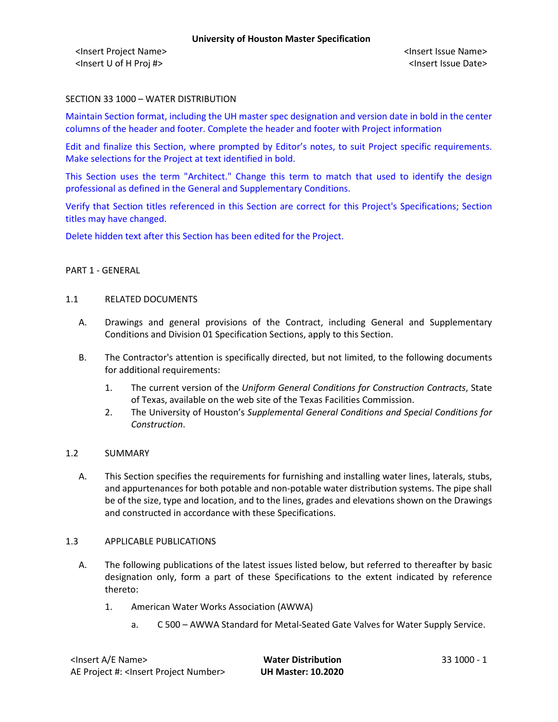## SECTION 33 1000 – WATER DISTRIBUTION

Maintain Section format, including the UH master spec designation and version date in bold in the center columns of the header and footer. Complete the header and footer with Project information

Edit and finalize this Section, where prompted by Editor's notes, to suit Project specific requirements. Make selections for the Project at text identified in bold.

This Section uses the term "Architect." Change this term to match that used to identify the design professional as defined in the General and Supplementary Conditions.

Verify that Section titles referenced in this Section are correct for this Project's Specifications; Section titles may have changed.

Delete hidden text after this Section has been edited for the Project.

#### PART 1 - GENERAL

#### 1.1 RELATED DOCUMENTS

- A. Drawings and general provisions of the Contract, including General and Supplementary Conditions and Division 01 Specification Sections, apply to this Section.
- B. The Contractor's attention is specifically directed, but not limited, to the following documents for additional requirements:
	- 1. The current version of the *Uniform General Conditions for Construction Contracts*, State of Texas, available on the web site of the Texas Facilities Commission.
	- 2. The University of Houston's *Supplemental General Conditions and Special Conditions for Construction*.

### 1.2 SUMMARY

A. This Section specifies the requirements for furnishing and installing water lines, laterals, stubs, and appurtenances for both potable and non-potable water distribution systems. The pipe shall be of the size, type and location, and to the lines, grades and elevations shown on the Drawings and constructed in accordance with these Specifications.

#### 1.3 APPLICABLE PUBLICATIONS

- A. The following publications of the latest issues listed below, but referred to thereafter by basic designation only, form a part of these Specifications to the extent indicated by reference thereto:
	- 1. American Water Works Association (AWWA)
		- a. C 500 AWWA Standard for Metal-Seated Gate Valves for Water Supply Service.

| <lnsert a="" e="" name=""></lnsert>    | <b>Water Distribution</b> | 33 1000 - 1 |
|----------------------------------------|---------------------------|-------------|
| AE Project #: < Insert Project Number> | <b>UH Master: 10.2020</b> |             |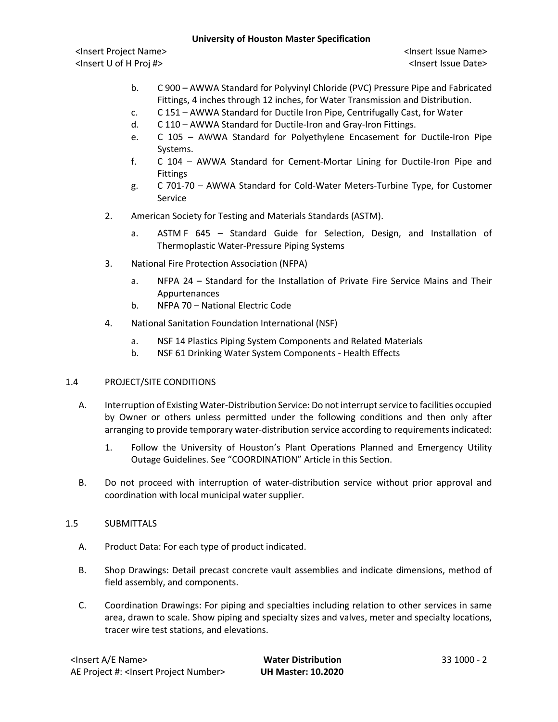## **University of Houston Master Specification**

<Insert Project Name> <Insert Issue Name> <Insert U of H Proj #> <Insert Issue Date>

- b. C 900 AWWA Standard for Polyvinyl Chloride (PVC) Pressure Pipe and Fabricated Fittings, 4 inches through 12 inches, for Water Transmission and Distribution.
- c. C 151 AWWA Standard for Ductile Iron Pipe, Centrifugally Cast, for Water
- d. C 110 AWWA Standard for Ductile-Iron and Gray-Iron Fittings.
- e. C 105 AWWA Standard for Polyethylene Encasement for Ductile-Iron Pipe Systems.
- f. C 104 AWWA Standard for Cement-Mortar Lining for Ductile-Iron Pipe and Fittings
- g. C 701-70 AWWA Standard for Cold-Water Meters-Turbine Type, for Customer Service
- 2. American Society for Testing and Materials Standards (ASTM).
	- a. ASTM F 645 Standard Guide for Selection, Design, and Installation of Thermoplastic Water-Pressure Piping Systems
- 3. National Fire Protection Association (NFPA)
	- a. NFPA 24 Standard for the Installation of Private Fire Service Mains and Their Appurtenances
	- b. NFPA 70 National Electric Code
- 4. National Sanitation Foundation International (NSF)
	- a. NSF 14 Plastics Piping System Components and Related Materials
	- b. NSF 61 Drinking Water System Components Health Effects

### 1.4 PROJECT/SITE CONDITIONS

- A. Interruption of Existing Water-Distribution Service: Do not interrupt service to facilities occupied by Owner or others unless permitted under the following conditions and then only after arranging to provide temporary water-distribution service according to requirements indicated:
	- 1. Follow the University of Houston's Plant Operations Planned and Emergency Utility Outage Guidelines. See "COORDINATION" Article in this Section.
- B. Do not proceed with interruption of water-distribution service without prior approval and coordination with local municipal water supplier.

### 1.5 SUBMITTALS

- A. Product Data: For each type of product indicated.
- B. Shop Drawings: Detail precast concrete vault assemblies and indicate dimensions, method of field assembly, and components.
- C. Coordination Drawings: For piping and specialties including relation to other services in same area, drawn to scale. Show piping and specialty sizes and valves, meter and specialty locations, tracer wire test stations, and elevations.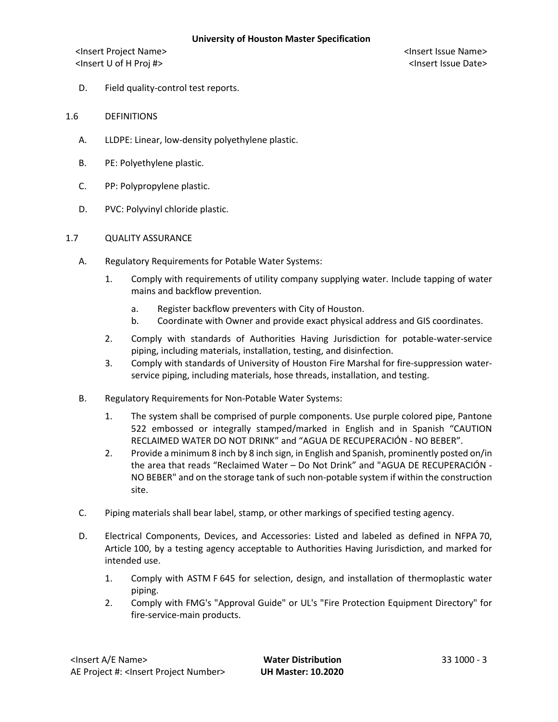- D. Field quality-control test reports.
- 1.6 DEFINITIONS
	- A. LLDPE: Linear, low-density polyethylene plastic.
	- B. PE: Polyethylene plastic.
	- C. PP: Polypropylene plastic.
	- D. PVC: Polyvinyl chloride plastic.

### 1.7 QUALITY ASSURANCE

- A. Regulatory Requirements for Potable Water Systems:
	- 1. Comply with requirements of utility company supplying water. Include tapping of water mains and backflow prevention.
		- a. Register backflow preventers with City of Houston.
		- b. Coordinate with Owner and provide exact physical address and GIS coordinates.
	- 2. Comply with standards of Authorities Having Jurisdiction for potable-water-service piping, including materials, installation, testing, and disinfection.
	- 3. Comply with standards of University of Houston Fire Marshal for fire-suppression waterservice piping, including materials, hose threads, installation, and testing.
- B. Regulatory Requirements for Non-Potable Water Systems:
	- 1. The system shall be comprised of purple components. Use purple colored pipe, Pantone 522 embossed or integrally stamped/marked in English and in Spanish "CAUTION RECLAIMED WATER DO NOT DRINK" and "AGUA DE RECUPERACIÓN - NO BEBER".
	- 2. Provide a minimum 8 inch by 8 inch sign, in English and Spanish, prominently posted on/in the area that reads "Reclaimed Water – Do Not Drink" and "AGUA DE RECUPERACIÓN - NO BEBER" and on the storage tank of such non-potable system if within the construction site.
- C. Piping materials shall bear label, stamp, or other markings of specified testing agency.
- D. Electrical Components, Devices, and Accessories: Listed and labeled as defined in NFPA 70, Article 100, by a testing agency acceptable to Authorities Having Jurisdiction, and marked for intended use.
	- 1. Comply with ASTM F 645 for selection, design, and installation of thermoplastic water piping.
	- 2. Comply with FMG's "Approval Guide" or UL's "Fire Protection Equipment Directory" for fire-service-main products.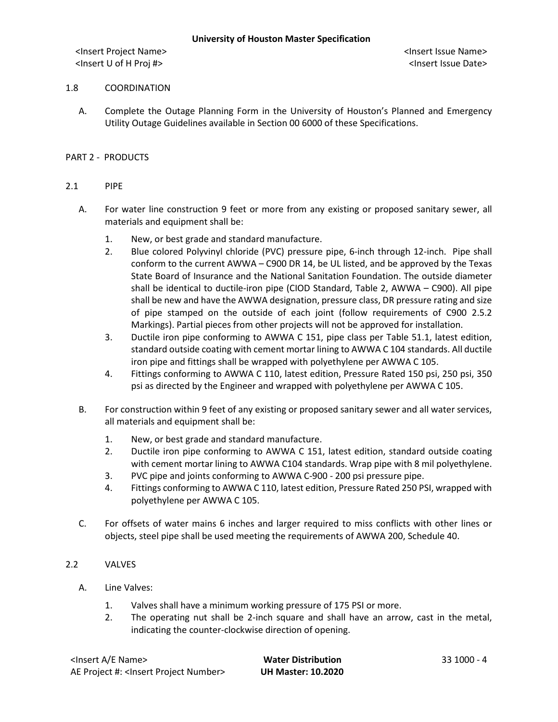## 1.8 COORDINATION

A. Complete the Outage Planning Form in the University of Houston's Planned and Emergency Utility Outage Guidelines available in Section 00 6000 of these Specifications.

### PART 2 - PRODUCTS

### 2.1 PIPE

- A. For water line construction 9 feet or more from any existing or proposed sanitary sewer, all materials and equipment shall be:
	- 1. New, or best grade and standard manufacture.
	- 2. Blue colored Polyvinyl chloride (PVC) pressure pipe, 6-inch through 12-inch. Pipe shall conform to the current AWWA – C900 DR 14, be UL listed, and be approved by the Texas State Board of Insurance and the National Sanitation Foundation. The outside diameter shall be identical to ductile-iron pipe (CIOD Standard, Table 2, AWWA – C900). All pipe shall be new and have the AWWA designation, pressure class, DR pressure rating and size of pipe stamped on the outside of each joint (follow requirements of C900 2.5.2 Markings). Partial pieces from other projects will not be approved for installation.
	- 3. Ductile iron pipe conforming to AWWA C 151, pipe class per Table 51.1, latest edition, standard outside coating with cement mortar lining to AWWA C 104 standards. All ductile iron pipe and fittings shall be wrapped with polyethylene per AWWA C 105.
	- 4. Fittings conforming to AWWA C 110, latest edition, Pressure Rated 150 psi, 250 psi, 350 psi as directed by the Engineer and wrapped with polyethylene per AWWA C 105.
- B. For construction within 9 feet of any existing or proposed sanitary sewer and all water services, all materials and equipment shall be:
	- 1. New, or best grade and standard manufacture.
	- 2. Ductile iron pipe conforming to AWWA C 151, latest edition, standard outside coating with cement mortar lining to AWWA C104 standards. Wrap pipe with 8 mil polyethylene.
	- 3. PVC pipe and joints conforming to AWWA C-900 200 psi pressure pipe.
	- 4. Fittings conforming to AWWA C 110, latest edition, Pressure Rated 250 PSI, wrapped with polyethylene per AWWA C 105.
- C. For offsets of water mains 6 inches and larger required to miss conflicts with other lines or objects, steel pipe shall be used meeting the requirements of AWWA 200, Schedule 40.

# 2.2 VALVES

- A. Line Valves:
	- 1. Valves shall have a minimum working pressure of 175 PSI or more.
	- 2. The operating nut shall be 2-inch square and shall have an arrow, cast in the metal, indicating the counter-clockwise direction of opening.

| <insert a="" e="" name=""></insert>                  |  |
|------------------------------------------------------|--|
| AE Project #: <lnsert number="" project=""></lnsert> |  |

**Water Distribution** 33 1000 - 4 AE Project #: <Insert Project Number> **UH Master: 10.2020**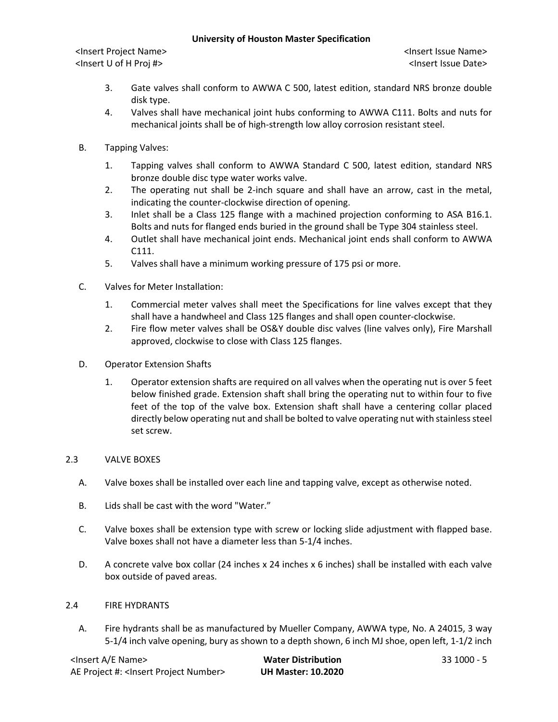## **University of Houston Master Specification**

<Insert Project Name> <Insert Issue Name> <Insert U of H Proj #> <Insert Issue Date>

- 3. Gate valves shall conform to AWWA C 500, latest edition, standard NRS bronze double disk type.
- 4. Valves shall have mechanical joint hubs conforming to AWWA C111. Bolts and nuts for mechanical joints shall be of high-strength low alloy corrosion resistant steel.
- B. Tapping Valves:
	- 1. Tapping valves shall conform to AWWA Standard C 500, latest edition, standard NRS bronze double disc type water works valve.
	- 2. The operating nut shall be 2-inch square and shall have an arrow, cast in the metal, indicating the counter-clockwise direction of opening.
	- 3. Inlet shall be a Class 125 flange with a machined projection conforming to ASA B16.1. Bolts and nuts for flanged ends buried in the ground shall be Type 304 stainless steel.
	- 4. Outlet shall have mechanical joint ends. Mechanical joint ends shall conform to AWWA C111.
	- 5. Valves shall have a minimum working pressure of 175 psi or more.
- C. Valves for Meter Installation:
	- 1. Commercial meter valves shall meet the Specifications for line valves except that they shall have a handwheel and Class 125 flanges and shall open counter-clockwise.
	- 2. Fire flow meter valves shall be OS&Y double disc valves (line valves only), Fire Marshall approved, clockwise to close with Class 125 flanges.
- D. Operator Extension Shafts
	- 1. Operator extension shafts are required on all valves when the operating nut is over 5 feet below finished grade. Extension shaft shall bring the operating nut to within four to five feet of the top of the valve box. Extension shaft shall have a centering collar placed directly below operating nut and shall be bolted to valve operating nut with stainless steel set screw.

# 2.3 VALVE BOXES

- A. Valve boxes shall be installed over each line and tapping valve, except as otherwise noted.
- B. Lids shall be cast with the word "Water."
- C. Valve boxes shall be extension type with screw or locking slide adjustment with flapped base. Valve boxes shall not have a diameter less than 5-1/4 inches.
- D. A concrete valve box collar (24 inches x 24 inches x 6 inches) shall be installed with each valve box outside of paved areas.

# 2.4 FIRE HYDRANTS

A. Fire hydrants shall be as manufactured by Mueller Company, AWWA type, No. A 24015, 3 way 5-1/4 inch valve opening, bury as shown to a depth shown, 6 inch MJ shoe, open left, 1-1/2 inch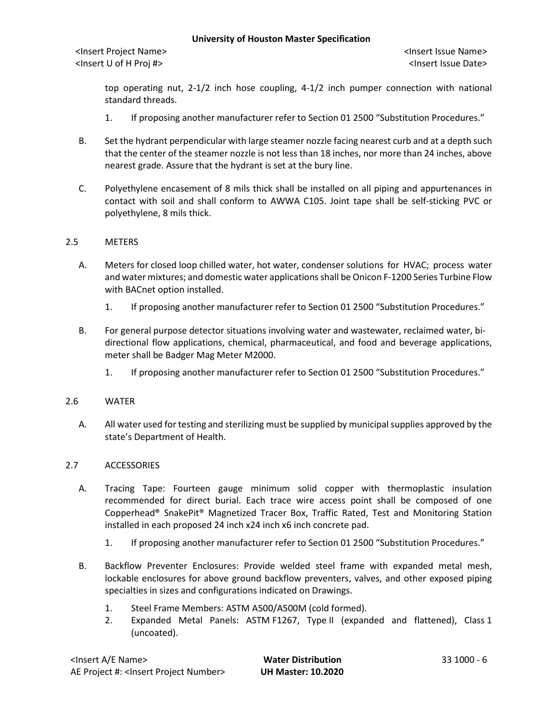### **University of Houston Master Specification**

<Insert Project Name> <Insert Issue Name> <Insert U of H Proj #> <Insert Issue Date>

top operating nut, 2-1/2 inch hose coupling, 4-1/2 inch pumper connection with national standard threads.

- 1. If proposing another manufacturer refer to Section 01 2500 "Substitution Procedures."
- B. Set the hydrant perpendicular with large steamer nozzle facing nearest curb and at a depth such that the center of the steamer nozzle is not less than 18 inches, nor more than 24 inches, above nearest grade. Assure that the hydrant is set at the bury line.
- C. Polyethylene encasement of 8 mils thick shall be installed on all piping and appurtenances in contact with soil and shall conform to AWWA C105. Joint tape shall be self-sticking PVC or polyethylene, 8 mils thick.

## 2.5 METERS

- A. Meters for closed loop chilled water, hot water, condenser solutions for HVAC; process water and water mixtures; and domestic water applications shall be Onicon F-1200 Series Turbine Flow with BACnet option installed.
	- 1. If proposing another manufacturer refer to Section 01 2500 "Substitution Procedures."
- B. For general purpose detector situations involving water and wastewater, reclaimed water, bidirectional flow applications, chemical, pharmaceutical, and food and beverage applications, meter shall be Badger Mag Meter M2000.
	- 1. If proposing another manufacturer refer to Section 01 2500 "Substitution Procedures."

### 2.6 WATER

A. All water used for testing and sterilizing must be supplied by municipal supplies approved by the state's Department of Health.

## 2.7 ACCESSORIES

- A. Tracing Tape: Fourteen gauge minimum solid copper with thermoplastic insulation recommended for direct burial. Each trace wire access point shall be composed of one Copperhead® SnakePit® Magnetized Tracer Box, Traffic Rated, Test and Monitoring Station installed in each proposed 24 inch x24 inch x6 inch concrete pad.
	- 1. If proposing another manufacturer refer to Section 01 2500 "Substitution Procedures."
- B. Backflow Preventer Enclosures: Provide welded steel frame with expanded metal mesh, lockable enclosures for above ground backflow preventers, valves, and other exposed piping specialties in sizes and configurations indicated on Drawings.
	- 1. Steel Frame Members: ASTM A500/A500M (cold formed).
	- 2. Expanded Metal Panels: ASTM F1267, Type II (expanded and flattened), Class 1 (uncoated).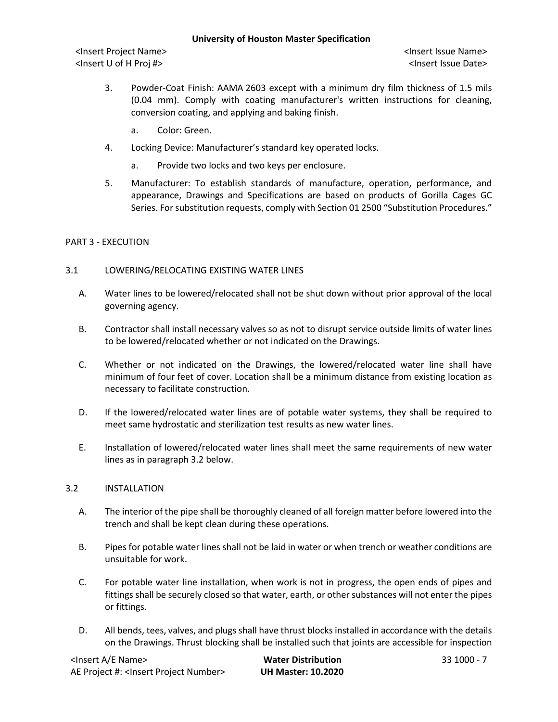- 3. Powder-Coat Finish: AAMA 2603 except with a minimum dry film thickness of 1.5 mils (0.04 mm). Comply with coating manufacturer's written instructions for cleaning, conversion coating, and applying and baking finish.
	- a. Color: Green.
- 4. Locking Device: Manufacturer's standard key operated locks.
	- a. Provide two locks and two keys per enclosure.
- 5. Manufacturer: To establish standards of manufacture, operation, performance, and appearance, Drawings and Specifications are based on products of Gorilla Cages GC Series. For substitution requests, comply with Section 01 2500 "Substitution Procedures."

## PART 3 - EXECUTION

## 3.1 LOWERING/RELOCATING EXISTING WATER LINES

- A. Water lines to be lowered/relocated shall not be shut down without prior approval of the local governing agency.
- B. Contractor shall install necessary valves so as not to disrupt service outside limits of water lines to be lowered/relocated whether or not indicated on the Drawings.
- C. Whether or not indicated on the Drawings, the lowered/relocated water line shall have minimum of four feet of cover. Location shall be a minimum distance from existing location as necessary to facilitate construction.
- D. If the lowered/relocated water lines are of potable water systems, they shall be required to meet same hydrostatic and sterilization test results as new water lines.
- E. Installation of lowered/relocated water lines shall meet the same requirements of new water lines as in paragraph 3.2 below.

### 3.2 INSTALLATION

- A. The interior of the pipe shall be thoroughly cleaned of all foreign matter before lowered into the trench and shall be kept clean during these operations.
- B. Pipes for potable water lines shall not be laid in water or when trench or weather conditions are unsuitable for work.
- C. For potable water line installation, when work is not in progress, the open ends of pipes and fittings shall be securely closed so that water, earth, or other substances will not enter the pipes or fittings.
- D. All bends, tees, valves, and plugs shall have thrust blocks installed in accordance with the details on the Drawings. Thrust blocking shall be installed such that joints are accessible for inspection

<Insert A/E Name> **Water Distribution** 33 1000 - 7 AE Project #: <Insert Project Number> **UH Master: 10.2020**